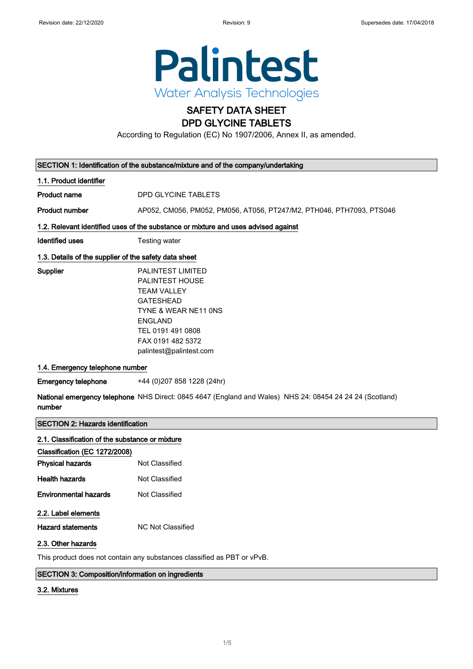

# SAFETY DATA SHEET

### DPD GLYCINE TABLETS

According to Regulation (EC) No 1907/2006, Annex II, as amended.

| SECTION 1: Identification of the substance/mixture and of the company/undertaking   |                                                                                                                                                                                                                                                                                                                                                        |  |  |  |
|-------------------------------------------------------------------------------------|--------------------------------------------------------------------------------------------------------------------------------------------------------------------------------------------------------------------------------------------------------------------------------------------------------------------------------------------------------|--|--|--|
| 1.1. Product identifier                                                             |                                                                                                                                                                                                                                                                                                                                                        |  |  |  |
| <b>Product name</b>                                                                 | DPD GLYCINE TABLETS                                                                                                                                                                                                                                                                                                                                    |  |  |  |
| <b>Product number</b>                                                               | AP052, CM056, PM052, PM056, AT056, PT247/M2, PTH046, PTH7093, PTS046                                                                                                                                                                                                                                                                                   |  |  |  |
|                                                                                     | 1.2. Relevant identified uses of the substance or mixture and uses advised against                                                                                                                                                                                                                                                                     |  |  |  |
| <b>Identified uses</b>                                                              | Testing water                                                                                                                                                                                                                                                                                                                                          |  |  |  |
|                                                                                     | 1.3. Details of the supplier of the safety data sheet                                                                                                                                                                                                                                                                                                  |  |  |  |
| Supplier<br>1.4. Emergency telephone number<br><b>Emergency telephone</b><br>number | <b>PALINTEST LIMITED</b><br><b>PALINTEST HOUSE</b><br><b>TEAM VALLEY</b><br><b>GATESHEAD</b><br>TYNE & WEAR NE11 ONS<br><b>ENGLAND</b><br>TEL 0191 491 0808<br>FAX 0191 482 5372<br>palintest@palintest.com<br>+44 (0) 207 858 1228 (24hr)<br>National emergency telephone NHS Direct: 0845 4647 (England and Wales) NHS 24: 08454 24 24 24 (Scotland) |  |  |  |
|                                                                                     |                                                                                                                                                                                                                                                                                                                                                        |  |  |  |
| <b>SECTION 2: Hazards identification</b>                                            |                                                                                                                                                                                                                                                                                                                                                        |  |  |  |
| 2.1. Classification of the substance or mixture                                     |                                                                                                                                                                                                                                                                                                                                                        |  |  |  |
| Classification (EC 1272/2008)                                                       |                                                                                                                                                                                                                                                                                                                                                        |  |  |  |
| <b>Physical hazards</b>                                                             | <b>Not Classified</b>                                                                                                                                                                                                                                                                                                                                  |  |  |  |
| <b>Health hazards</b>                                                               | <b>Not Classified</b>                                                                                                                                                                                                                                                                                                                                  |  |  |  |
| <b>Environmental hazards</b>                                                        | <b>Not Classified</b>                                                                                                                                                                                                                                                                                                                                  |  |  |  |
| 2.2. Label elements                                                                 |                                                                                                                                                                                                                                                                                                                                                        |  |  |  |
| Hazard statements                                                                   | <b>NC Not Classified</b>                                                                                                                                                                                                                                                                                                                               |  |  |  |

#### 2.3. Other hazards

This product does not contain any substances classified as PBT or vPvB.

#### SECTION 3: Composition/information on ingredients

#### 3.2. Mixtures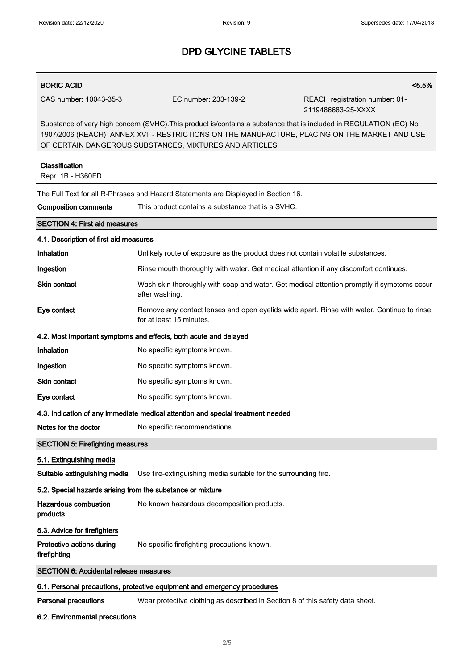#### BORIC ACID <5.5%

CAS number: 10043-35-3 EC number: 233-139-2 REACH registration number: 01- 2119486683-25-XXXX

Substance of very high concern (SVHC).This product is/contains a substance that is included in REGULATION (EC) No 1907/2006 (REACH) ANNEX XVII - RESTRICTIONS ON THE MANUFACTURE, PLACING ON THE MARKET AND USE OF CERTAIN DANGEROUS SUBSTANCES, MIXTURES AND ARTICLES.

## Classification Repr. 1B - H360FD The Full Text for all R-Phrases and Hazard Statements are Displayed in Section 16. Composition comments This product contains a substance that is a SVHC. SECTION 4: First aid measures 4.1. Description of first aid measures Inhalation **Unlikely route of exposure as the product does not contain volatile substances.** Ingestion Rinse mouth thoroughly with water. Get medical attention if any discomfort continues. Skin contact **Wash skin thoroughly with soap and water.** Get medical attention promptly if symptoms occur after washing. Eye contact Remove any contact lenses and open eyelids wide apart. Rinse with water. Continue to rinse for at least 15 minutes. 4.2. Most important symptoms and effects, both acute and delayed Inhalation No specific symptoms known. Ingestion **No specific symptoms known.** Skin contact No specific symptoms known. Eye contact No specific symptoms known. 4.3. Indication of any immediate medical attention and special treatment needed Notes for the doctor No specific recommendations. SECTION 5: Firefighting measures 5.1. Extinguishing media Suitable extinguishing media Use fire-extinguishing media suitable for the surrounding fire. 5.2. Special hazards arising from the substance or mixture Hazardous combustion products No known hazardous decomposition products. 5.3. Advice for firefighters Protective actions during firefighting No specific firefighting precautions known. SECTION 6: Accidental release measures

#### 6.1. Personal precautions, protective equipment and emergency procedures

Personal precautions Wear protective clothing as described in Section 8 of this safety data sheet.

#### 6.2. Environmental precautions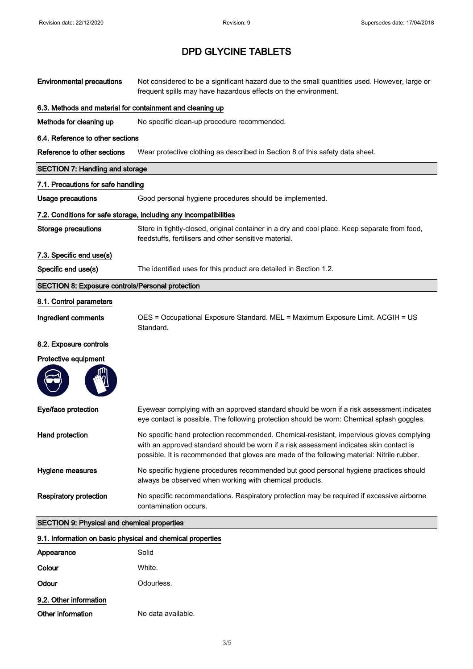| <b>Environmental precautions</b>                           | Not considered to be a significant hazard due to the small quantities used. However, large or<br>frequent spills may have hazardous effects on the environment.                                                                                                                    |  |
|------------------------------------------------------------|------------------------------------------------------------------------------------------------------------------------------------------------------------------------------------------------------------------------------------------------------------------------------------|--|
| 6.3. Methods and material for containment and cleaning up  |                                                                                                                                                                                                                                                                                    |  |
| Methods for cleaning up                                    | No specific clean-up procedure recommended.                                                                                                                                                                                                                                        |  |
| 6.4. Reference to other sections                           |                                                                                                                                                                                                                                                                                    |  |
| Reference to other sections                                | Wear protective clothing as described in Section 8 of this safety data sheet.                                                                                                                                                                                                      |  |
| <b>SECTION 7: Handling and storage</b>                     |                                                                                                                                                                                                                                                                                    |  |
| 7.1. Precautions for safe handling                         |                                                                                                                                                                                                                                                                                    |  |
| <b>Usage precautions</b>                                   | Good personal hygiene procedures should be implemented.                                                                                                                                                                                                                            |  |
|                                                            | 7.2. Conditions for safe storage, including any incompatibilities                                                                                                                                                                                                                  |  |
| <b>Storage precautions</b>                                 | Store in tightly-closed, original container in a dry and cool place. Keep separate from food,<br>feedstuffs, fertilisers and other sensitive material.                                                                                                                             |  |
| 7.3. Specific end use(s)                                   |                                                                                                                                                                                                                                                                                    |  |
| Specific end use(s)                                        | The identified uses for this product are detailed in Section 1.2.                                                                                                                                                                                                                  |  |
| <b>SECTION 8: Exposure controls/Personal protection</b>    |                                                                                                                                                                                                                                                                                    |  |
| 8.1. Control parameters                                    |                                                                                                                                                                                                                                                                                    |  |
| Ingredient comments                                        | OES = Occupational Exposure Standard. MEL = Maximum Exposure Limit. ACGIH = US<br>Standard.                                                                                                                                                                                        |  |
| 8.2. Exposure controls                                     |                                                                                                                                                                                                                                                                                    |  |
| Protective equipment                                       |                                                                                                                                                                                                                                                                                    |  |
| Eye/face protection                                        | Eyewear complying with an approved standard should be worn if a risk assessment indicates<br>eye contact is possible. The following protection should be worn: Chemical splash goggles.                                                                                            |  |
| Hand protection                                            | No specific hand protection recommended. Chemical-resistant, impervious gloves complying<br>with an approved standard should be worn if a risk assessment indicates skin contact is<br>possible. It is recommended that gloves are made of the following material: Nitrile rubber. |  |
| Hygiene measures                                           | No specific hygiene procedures recommended but good personal hygiene practices should<br>always be observed when working with chemical products.                                                                                                                                   |  |
| <b>Respiratory protection</b>                              | No specific recommendations. Respiratory protection may be required if excessive airborne<br>contamination occurs.                                                                                                                                                                 |  |
| <b>SECTION 9: Physical and chemical properties</b>         |                                                                                                                                                                                                                                                                                    |  |
| 9.1. Information on basic physical and chemical properties |                                                                                                                                                                                                                                                                                    |  |
| Appearance                                                 | Solid                                                                                                                                                                                                                                                                              |  |
| Colour                                                     | White.                                                                                                                                                                                                                                                                             |  |
| Odour                                                      | Odourless.                                                                                                                                                                                                                                                                         |  |

|  | 9.2. Other information |  |
|--|------------------------|--|
|  |                        |  |

| Other information | No data available. |
|-------------------|--------------------|
|                   |                    |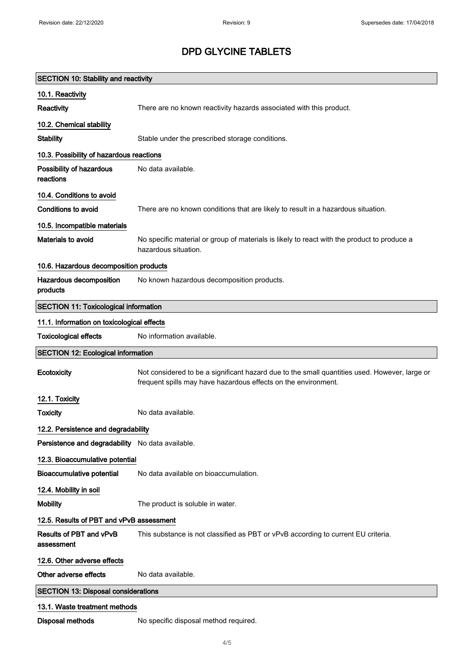| <b>SECTION 10: Stability and reactivity</b>      |                                                                                                                                                                 |  |  |
|--------------------------------------------------|-----------------------------------------------------------------------------------------------------------------------------------------------------------------|--|--|
| 10.1. Reactivity                                 |                                                                                                                                                                 |  |  |
| Reactivity                                       | There are no known reactivity hazards associated with this product.                                                                                             |  |  |
| 10.2. Chemical stability                         |                                                                                                                                                                 |  |  |
| <b>Stability</b>                                 | Stable under the prescribed storage conditions.                                                                                                                 |  |  |
|                                                  | 10.3. Possibility of hazardous reactions                                                                                                                        |  |  |
| Possibility of hazardous<br>reactions            | No data available.                                                                                                                                              |  |  |
| 10.4. Conditions to avoid                        |                                                                                                                                                                 |  |  |
| <b>Conditions to avoid</b>                       | There are no known conditions that are likely to result in a hazardous situation.                                                                               |  |  |
| 10.5. Incompatible materials                     |                                                                                                                                                                 |  |  |
| <b>Materials to avoid</b>                        | No specific material or group of materials is likely to react with the product to produce a<br>hazardous situation.                                             |  |  |
| 10.6. Hazardous decomposition products           |                                                                                                                                                                 |  |  |
| Hazardous decomposition<br>products              | No known hazardous decomposition products.                                                                                                                      |  |  |
| <b>SECTION 11: Toxicological information</b>     |                                                                                                                                                                 |  |  |
| 11.1. Information on toxicological effects       |                                                                                                                                                                 |  |  |
| <b>Toxicological effects</b>                     | No information available.                                                                                                                                       |  |  |
| <b>SECTION 12: Ecological information</b>        |                                                                                                                                                                 |  |  |
| Ecotoxicity                                      | Not considered to be a significant hazard due to the small quantities used. However, large or<br>frequent spills may have hazardous effects on the environment. |  |  |
| 12.1. Toxicity                                   |                                                                                                                                                                 |  |  |
| <b>Toxicity</b>                                  | No data available.                                                                                                                                              |  |  |
| 12.2. Persistence and degradability              |                                                                                                                                                                 |  |  |
| Persistence and degradability No data available. |                                                                                                                                                                 |  |  |
| 12.3. Bioaccumulative potential                  |                                                                                                                                                                 |  |  |
| <b>Bioaccumulative potential</b>                 | No data available on bioaccumulation.                                                                                                                           |  |  |
| 12.4. Mobility in soil                           |                                                                                                                                                                 |  |  |
| <b>Mobility</b>                                  | The product is soluble in water.                                                                                                                                |  |  |
| 12.5. Results of PBT and vPvB assessment         |                                                                                                                                                                 |  |  |
| Results of PBT and vPvB<br>assessment            | This substance is not classified as PBT or vPvB according to current EU criteria.                                                                               |  |  |
| 12.6. Other adverse effects                      |                                                                                                                                                                 |  |  |
| Other adverse effects                            | No data available.                                                                                                                                              |  |  |
| <b>SECTION 13: Disposal considerations</b>       |                                                                                                                                                                 |  |  |
| 13.1. Waste treatment methods                    |                                                                                                                                                                 |  |  |
| <b>Disposal methods</b>                          | No specific disposal method required.                                                                                                                           |  |  |